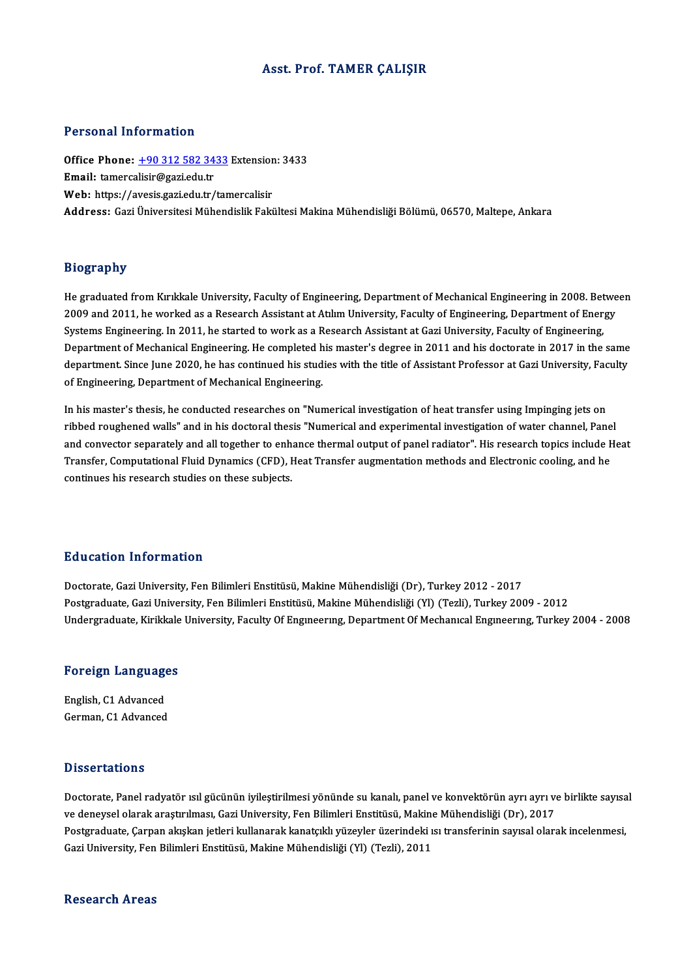### Asst. Prof. TAMER ÇALIŞIR

### Personal Information

Personal Information<br>Office Phone: <u>+90 312 582 3433</u> Extension: 3433<br>Email: tamorealisir@aari.edu.tr Procession internation<br>Office Phone: <u>+90 312 582 34</u><br>Email: tamerca[lisir@gazi.edu.tr](tel:+90 312 582 3433) Office Phone: <u>+90 312 582 3433</u> Extension<br>Email: tamercalisir@gazi.edu.tr<br>Web: https://avesis.gazi.edu.tr/tamercalisir Email: tamercalisir@gazi.edu.tr<br>Web: https://avesis.gazi.edu.tr/tamercalisir<br>Address: Gazi Üniversitesi Mühendislik Fakültesi Makina Mühendisliği Bölümü, 06570, Maltepe, Ankara

### Biography

Bi<mark>ography</mark><br>He graduated from Kırıkkale University, Faculty of Engineering, Department of Mechanical Engineering in 2008. Between<br>2009.and 2011. be verked as a Besearch Assistant at Atılım University, Faculty of Engineerin 210g: up.1.<br>He graduated from Kırıkkale University, Faculty of Engineering, Department of Mechanical Engineering in 2008. Betwe<br>2009 and 2011, he worked as a Research Assistant at Atılım University, Faculty of Engineering, He graduated from Kırıkkale University, Faculty of Engineering, Department of Mechanical Engineering in 2008. Bet<br>2009 and 2011, he worked as a Research Assistant at Atılım University, Faculty of Engineering, Department of 2009 and 2011, he worked as a Research Assistant at Atılım University, Faculty of Engineering, Department of Energy<br>Systems Engineering. In 2011, he started to work as a Research Assistant at Gazi University, Faculty of En Systems Engineering. In 2011, he started to work as a Research Assistant at Gazi University, Faculty of Engineering,<br>Department of Mechanical Engineering. He completed his master's degree in 2011 and his doctorate in 2017 Department of Mechanical Engineering. He completed h<br>department. Since June 2020, he has continued his stud<br>of Engineering, Department of Mechanical Engineering. department. Since June 2020, he has continued his studies with the title of Assistant Professor at Gazi University, Faculty<br>of Engineering, Department of Mechanical Engineering.<br>In his master's thesis, he conducted researc

or Engineering, Department or Mechaintar Engineering.<br>In his master's thesis, he conducted researches on "Numerical investigation of heat transfer using Impinging jets on<br>and convector cononately and all together to enhanc and convector separately and all together to enhance thermal output of panel radiator". His research topics include Heat<br>Transfer, Computational Fluid Dynamics (CFD), Heat Transfer augmentation methods and Electronic cooli ribbed roughened walls" and in his doctoral thesis "Numerical and experimental investigation of water channel, Pane<br>and convector separately and all together to enhance thermal output of panel radiator". His research topic continues his research studies on these subjects.

### Education Information

Doctorate, Gazi University, Fen Bilimleri Enstitüsü, Makine Mühendisliği (Dr), Turkey 2012 - 2017 Postgraduate, Gazi University, Fen Bilimleri Enstitüsü, Makine Mühendisliği (Yl) (Tezli), Turkey 2009 - 2012 Undergraduate, Kirikkale University, Faculty Of Engineering, Department Of Mechanical Engineering, Turkey 2004 - 2008

# <sub>Undergraduate, Kirikkale</sub><br>Foreign Languages

Foreign Language<br>English, C1 Advanced<br>Carman C1 Advanced English, C1 Advanced<br>German, C1 Advanced

### **Dissertations**

Doctorate, Panel radyatör ısıl gücünün iyileştirilmesi yönünde su kanalı, panel ve konvektörün ayrı ayrı ve birlikte sayısal ve deneysel olarak araştırılması, Gazi University, Fen Bilimleri Enstitüsü, Makine Mühendisliği (Dr), 2017 Doctorate, Panel radyatör ısıl gücünün iyileştirilmesi yönünde su kanalı, panel ve konvektörün ayrı ayrı ve birlikte sayısa<br>ve deneysel olarak araştırılması, Gazi University, Fen Bilimleri Enstitüsü, Makine Mühendisliği (D ve deneysel olarak araştırılması, Gazi University, Fen Bilimleri Enstitüsü, Makine<br>Postgraduate, Çarpan akışkan jetleri kullanarak kanatçıklı yüzeyler üzerindeki ı<br>Gazi University, Fen Bilimleri Enstitüsü, Makine Mühendisl Gazi University, Fen Bilimleri Enstitüsü, Makine Mühendisliği (Yl) (Tezli), 2011<br>Research Areas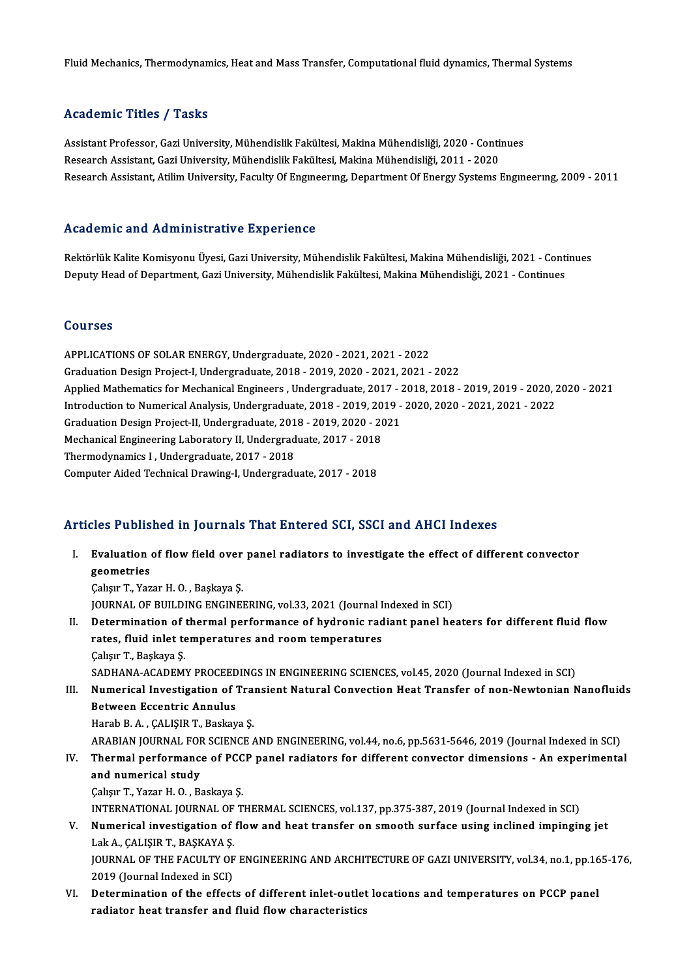Fluid Mechanics, Thermodynamics, Heat and Mass Transfer, Computational fluid dynamics, Thermal Systems

### Academic Titles / Tasks

Academic Titles / Tasks<br>Assistant Professor, Gazi University, Mühendislik Fakültesi, Makina Mühendisliği, 2020 - Continues<br>Researsh Assistant, Cazi University, Mühendislik Fakültesi, Makina Mühendisliği, 2011, ... 2020 rrona emre "rrroo", "rasmo"<br>Assistant Professor, Gazi University, Mühendislik Fakültesi, Makina Mühendisliği, 2020 - Conti<br>Research Assistant, Gazi University, Mühendislik Fakültesi, Makina Mühendisliği, 2011 - 2020<br>Resear Research Assistant, Gazi University, Mühendislik Fakültesi, Makina Mühendisliği, 2011 - 2020<br>Research Assistant, Atilim University, Faculty Of Engıneerıng, Department Of Energy Systems Engıneerıng, 2009 - 2011

### Academic and Administrative Experience

Academic and Administrative Experience<br>Rektörlük Kalite Komisyonu Üyesi, Gazi University, Mühendislik Fakültesi, Makina Mühendisliği, 2021 - Continues<br>Denuty Heed of Denertment, Cari University, Mühendislik Fekültesi, Maki rredd omre and rrammiserative Enperrence<br>Rektörlük Kalite Komisyonu Üyesi, Gazi University, Mühendislik Fakültesi, Makina Mühendisliği, 2021 - Conti<br>Deputy Head of Department, Gazi University, Mühendislik Fakültesi, Makina Deputy Head of Department, Gazi University, Mühendislik Fakültesi, Makina Mühendisliği, 2021 - Continues<br>Courses

APPLICATIONSOF SOLARENERGY,Undergraduate,2020 -2021,2021 -2022 GraduationDesignProject-I,Undergraduate,2018 -2019,2020 -2021,2021 -2022 APPLICATIONS OF SOLAR ENERGY, Undergraduate, 2020 - 2021, 2021 - 2022<br>Graduation Design Project-I, Undergraduate, 2018 - 2019, 2020 - 2021, 2021 - 2022<br>Applied Mathematics for Mechanical Engineers , Undergraduate, 2017 - 2 Graduation Design Project-I, Undergraduate, 2018 - 2019, 2020 - 2021, 2021 - 2022<br>Applied Mathematics for Mechanical Engineers , Undergraduate, 2017 - 2018, 2018 - 2019, 2019 - 2020, 2<br>Introduction to Numerical Analysis, U Applied Mathematics for Mechanical Engineers , Undergraduate, 2017 - 2<br>Introduction to Numerical Analysis, Undergraduate, 2018 - 2019, 2019 -<br>Graduation Design Project-II, Undergraduate, 2018 - 2019, 2020 - 2021<br>Mechanical Introduction to Numerical Analysis, Undergraduate, 2018 - 2019, 2019 - 2020, 2020 - 2021, 2021 - 2022<br>Graduation Design Project-II, Undergraduate, 2018 - 2019, 2020 - 2021<br>Mechanical Engineering Laboratory II, Undergraduat Graduation Design Project-II, Undergraduate, 201<br>Mechanical Engineering Laboratory II, Undergrad<br>Thermodynamics I , Undergraduate, 2017 - 2018<br>Computer Aided Technical Drawing J, Undergradu Mechanical Engineering Laboratory II, Undergraduate, 2017 - 2018<br>Thermodynamics I , Undergraduate, 2017 - 2018<br>Computer Aided Technical Drawing-I, Undergraduate, 2017 - 2018

# Computer Aided Technical Drawing-I, Undergraduate, 2017 - 2018<br>Articles Published in Journals That Entered SCI, SSCI and AHCI Indexes

rticles Published in Journals That Entered SCI, SSCI and AHCI Indexes<br>I. Evaluation of flow field over panel radiators to investigate the effect of different convector geometries<br>Evaluation<br>Gebour T. Ver Evaluation of flow field over<br>geometries<br>Çalışır T., Yazar H. O. , Başkaya Ş.<br>JOUPNAL OE BUILDING ENGINEI geometries<br>Çalışır T., Yazar H. O. , Başkaya Ş.<br>JOURNAL OF BUILDING ENGINEERING, vol.33, 2021 (Journal Indexed in SCI) Calışır T., Yazar H. O. , Başkaya Ş.<br>JOURNAL OF BUILDING ENGINEERING, vol.33, 2021 (Journal Indexed in SCI)<br>II. Determination of thermal performance of hydronic radiant panel heaters for different fluid flow<br>rates fluid in JOURNAL OF BUILDING ENGINEERING, vol.33, 2021 (Journal I<br>Determination of thermal performance of hydronic rad<br>rates, fluid inlet temperatures and room temperatures<br>Cakar T. Baskays S Determination of<br>rates, fluid inlet te<br>Çalışır T., Başkaya Ş.<br>SADHANA ACADEM rates, fluid inlet temperatures and room temperatures<br>Çalışır T., Başkaya Ş.<br>SADHANA-ACADEMY PROCEEDINGS IN ENGINEERING SCIENCES, vol.45, 2020 (Journal Indexed in SCI)<br>Numerisel Investisation of Transiant Natural Convestio Calışır T., Başkaya Ş.<br>SADHANA-ACADEMY PROCEEDINGS IN ENGINEERING SCIENCES, vol.45, 2020 (Journal Indexed in SCI)<br>III. Numerical Investigation of Transient Natural Convection Heat Transfer of non-Newtonian Nanofluids<br> SADHANA-ACADEMY PROCEED<br>Numerical Investigation of<br>Between Eccentric Annulus<br>Harab B.A. CALISIB T. Baskav Numerical Investigation of Trai<br>Between Eccentric Annulus<br>Harab B.A., ÇALIŞIR T., Baskaya Ş.<br>ARABIAN JOURNAL FOR SCIENCE Between Eccentric Annulus<br>Harab B. A. , ÇALIŞIR T., Baskaya Ş.<br>ARABIAN JOURNAL FOR SCIENCE AND ENGINEERING, vol.44, no.6, pp.5631-5646, 2019 (Journal Indexed in SCI)<br>Thermal nerformanes of BCCB nanal radiators for differen Harab B. A. , ÇALIŞIR T., Baskaya Ş.<br>ARABIAN JOURNAL FOR SCIENCE AND ENGINEERING, vol.44, no.6, pp.5631-5646, 2019 (Journal Indexed in SCI)<br>IV. Thermal performance of PCCP panel radiators for different convector dimens ARABIAN JOURNAL FOR<br>Thermal performance<br>and numerical study<br>Coleur T. Yozer H.O., B. IV. Thermal performance of PCCP panel radiators for different convector dimensions - An experimental<br>and numerical study<br>Calışır T., Yazar H. O., Baskaya Ş. and numerical study<br>Çalışır T., Yazar H. O. , Baskaya Ş.<br>INTERNATIONAL JOURNAL OF THERMAL SCIENCES, vol.137, pp.375-387, 2019 (Journal Indexed in SCI)<br>Numerisal investigation of flow and best transfor on smooth surface vei V. Numerical investigation of flowand heat transfer on smooth surface using inclined impinging jet INTERNATIONAL JOURNAL OF<br>Numerical investigation of<br>Lak A., ÇALIŞIR T., BAŞKAYA Ş.<br>JOURNAL OF THE FACULTY OF JOURNAL OF THE FACULTY OF ENGINEERING AND ARCHITECTURE OF GAZI UNIVERSITY, vol.34, no.1, pp.165-176,<br>2019 (Journal Indexed in SCI) Lak A., CALIŞIR T., BAŞKAYA Ş. VI. Determination of the effects of different inlet-outlet locations and temperatures on PCCP panel radiator heat transfer and fluid flowcharacteristics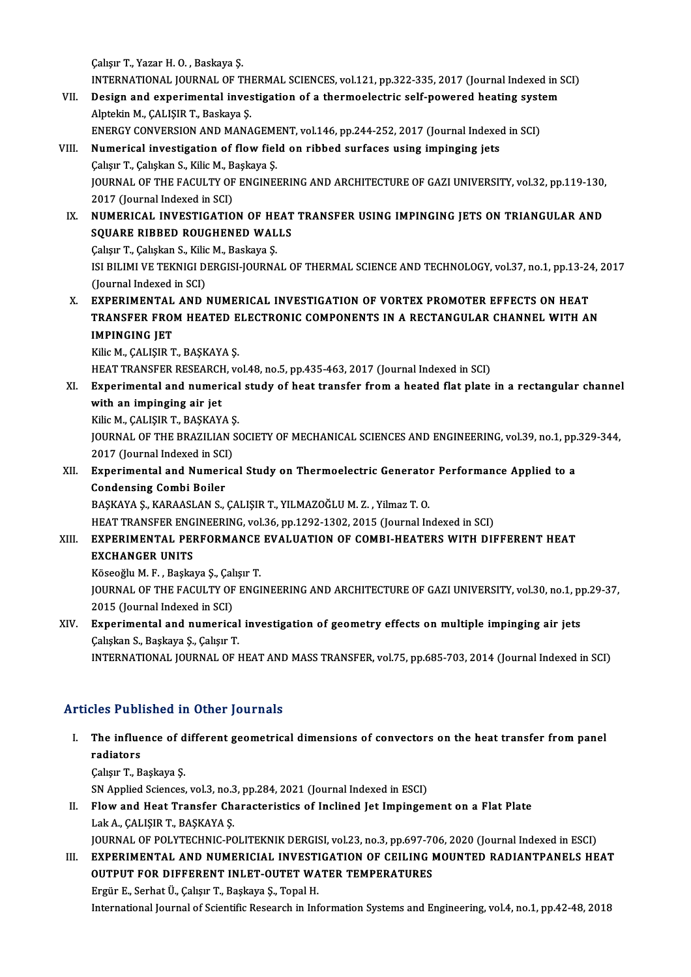ÇalışırT.,YazarH.O. ,Baskaya Ş. Calışır T., Yazar H. O. , Baskaya Ş.<br>INTERNATIONAL JOURNAL OF THERMAL SCIENCES, vol.121, pp.322-335, 2017 (Journal Indexed in SCI)<br>Pesisn and experimental investigation of a thermoelestric self newened besting system Callsur T., Yazar H. O. , Baskaya Ş.<br>INTERNATIONAL JOURNAL OF THERMAL SCIENCES, vol.121, pp.322-335, 2017 (Journal Indexed in S<br>VII. Design and experimental investigation of a thermoelectric self-powered heating system<br>Alp

- INTERNATIONAL JOURNAL OF TH<br>Design and experimental inves<br>Alptekin M., ÇALIŞIR T., Baskaya Ş.<br>ENERCY CONVERSION AND MANA Design and experimental investigation of a thermoelectric self-powered heating syst<br>Alptekin M., ÇALIŞIR T., Baskaya Ş.<br>ENERGY CONVERSION AND MANAGEMENT, vol.146, pp.244-252, 2017 (Journal Indexed in SCI)<br>Numerical investi Alptekin M., ÇALIŞIR T., Baskaya Ş.<br>ENERGY CONVERSION AND MANAGEMENT, vol.146, pp.244-252, 2017 (Journal Indexe<br>VIII. Numerical investigation of flow field on ribbed surfaces using impinging jets
- ENERGY CONVERSION AND MANAGEMI<br>Numerical investigation of flow fiel<br>Çalışır T., Çalışkan S., Kilic M., Başkaya Ş.<br>JOUPNAL OF THE FACULTY OF ENCINEI JOURNAL OF THE FACULTY OF ENGINEERING AND ARCHITECTURE OF GAZI UNIVERSITY, vol.32, pp.119-130,<br>2017 (Journal Indexed in SCI) Çalışır T., Çalışkan S., Kilic M., Başkaya Ş. JOURNAL OF THE FACULTY OF ENGINEERING AND ARCHITECTURE OF GAZI UNIVERSITY, vol.32, pp.119-130,<br>2017 (Journal Indexed in SCI)<br>IX. NUMERICAL INVESTIGATION OF HEAT TRANSFER USING IMPINGING JETS ON TRIANGULAR AND<br>SOUARE RIRRED

# 2017 (Journal Indexed in SCI)<br>NUMERICAL INVESTIGATION OF HEAT<br>SQUARE RIBBED ROUGHENED WALLS<br>Colorn T. Coligian S. Kilia M. Basirava S. NUMERICAL INVESTIGATION OF HE<br>SQUARE RIBBED ROUGHENED WAL<br>Çalışır T., Çalışkan S., Kilic M., Baskaya Ş.<br>ISLEH IMLVE TEKNICI DERCISLIQUENA

SQUARE RIBBED ROUGHENED WALLS<br>Çalışır T., Çalışkan S., Kilic M., Baskaya Ş.<br>ISI BILIMI VE TEKNIGI DERGISI-JOURNAL OF THERMAL SCIENCE AND TECHNOLOGY, vol.37, no.1, pp.13-24, 2017 (Journal Indexed in SCI)

X. EXPERIMENTAL AND NUMERICAL INVESTIGATION OF VORTEX PROMOTER EFFECTS ON HEAT (Journal Indexed in SCI)<br>EXPERIMENTAL AND NUMERICAL INVESTIGATION OF VORTEX PROMOTER EFFECTS ON HEAT<br>TRANSFER FROM HEATED ELECTRONIC COMPONENTS IN A RECTANGULAR CHANNEL WITH AN<br>IMPINCING JET EXPERIMENTAL<br>TRANSFER FROI<br>IMPINGING JET<br><sup>Kili</sup>eM CALISIP T TRANSFER FROM HEATED E<br>IMPINGING JET<br>Kilic M., ÇALIŞIR T., BAŞKAYA Ş.<br>HEAT TRANSEER RESEARCH *YA* IMPINGING JET<br>Kilic M., ÇALIŞIR T., BAŞKAYA Ş.<br>HEAT TRANSFER RESEARCH, vol.48, no.5, pp.435-463, 2017 (Journal Indexed in SCI)<br>Evnonimental and numerisal study of best transfer from a bested flat plate

Kilic M., ÇALIŞIR T., BAŞKAYA Ş.<br>HEAT TRANSFER RESEARCH, vol.48, no.5, pp.435-463, 2017 (Journal Indexed in SCI)<br>XI. Experimental and numerical study of heat transfer from a heated flat plate in a rectangular channel<br>w HEAT TRANSFER RESEARCH<br>Experimental and numer<br>with an impinging air jet<br><sup>With M</sup> CALISIP T, PASKAV Experimental and numerical<br>with an impinging air jet<br>Kilic M., ÇALIŞIR T., BAŞKAYA Ş.<br>JOUPNAL OF THE PRAZILIAN SA

with an impinging air jet<br>Kilic M., ÇALIŞIR T., BAŞKAYA Ş.<br>JOURNAL OF THE BRAZILIAN SOCIETY OF MECHANICAL SCIENCES AND ENGINEERING, vol.39, no.1, pp.329-344,<br>2017 (Journal Indoxed in SCI) Kilic M., ÇALIŞIR T., BAŞKAYA Ş<br>JOURNAL OF THE BRAZILIAN S<br>2017 (Journal Indexed in SCI)<br>Exporimental and Numerics JOURNAL OF THE BRAZILIAN SOCIETY OF MECHANICAL SCIENCES AND ENGINEERING, vol.39, no.1, pp.<br>2017 (Journal Indexed in SCI)<br>XII. Experimental and Numerical Study on Thermoelectric Generator Performance Applied to a<br>Condonging

# 2017 (Journal Indexed in SCI<br>Experimental and Numeri<br>Condensing Combi Boiler<br>PASKAVA S. KARAASLAN S. Experimental and Numerical Study on Thermoelectric Generato:<br>Condensing Combi Boiler<br>BAŞKAYA Ş., KARAASLAN S., ÇALIŞIR T., YILMAZOĞLU M. Z. , Yilmaz T. O.<br>HEAT TRANSEED ENCINEERING .vol 26. np 1292, 1292, 2915 (Journal In

Condensing Combi Boiler<br>BAŞKAYA Ş., KARAASLAN S., ÇALIŞIR T., YILMAZOĞLU M. Z. , Yilmaz T. O.<br>HEAT TRANSFER ENGINEERING, vol.36, pp.1292-1302, 2015 (Journal Indexed in SCI)

## BAŞKAYA Ş., KARAASLAN S., ÇALIŞIR T., YILMAZOĞLU M. Z. , Yilmaz T. O.<br>HEAT TRANSFER ENGINEERING, vol.36, pp.1292-1302, 2015 (Journal Indexed in SCI)<br>XIII. EXPERIMENTAL PERFORMANCE EVALUATION OF COMBI-HEATERS WITH DIFFE HEAT TRANSFER ENG<br><mark>EXPERIMENTAL PEI<br>EXCHANGER UNITS</mark> EXPERIMENTAL PERFORMANCE<br>EXCHANGER UNITS<br>Köseoğlu M. F., Başkaya Ş., Çalışır T.<br>IOUPNAL OF THE EACULTY OF ENCI

EXCHANGER UNITS<br>Köseoğlu M. F. , Başkaya Ş., Çalışır T.<br>JOURNAL OF THE FACULTY OF ENGINEERING AND ARCHITECTURE OF GAZI UNIVERSITY, vol.30, no.1, pp.29-37,<br>2015 (Journal Indoved in SCI) Köseoğlu M. F. , Başkaya Ş., Çal<br>JOURNAL OF THE FACULTY OF<br>2015 (Journal Indexed in SCI)<br>Eunonimental and numeriss JOURNAL OF THE FACULTY OF ENGINEERING AND ARCHITECTURE OF GAZI UNIVERSITY, vol.30, no.1, p<br>2015 (Journal Indexed in SCI)<br>XIV. Experimental and numerical investigation of geometry effects on multiple impinging air jets<br>Calc

# 2015 (Journal Indexed in SCI)<br>Experimental and numerical<br>Çalışkan S., Başkaya Ş., Çalışır T.<br>INTERNATIONAL JOURNAL OF I Experimental and numerical investigation of geometry effects on multiple impinging air jets<br>Çalışkan S., Başkaya Ş., Çalışır T.<br>INTERNATIONAL JOURNAL OF HEAT AND MASS TRANSFER, vol.75, pp.685-703, 2014 (Journal Indexed in

INTERNATIONAL JOURNAL OF HEAT AND MASS TRANSFER, vol.75, pp.685-703, 2014 (Journal Indexed in SCI)<br>Articles Published in Other Journals

rticles Published in Other Journals<br>I. The influence of different geometrical dimensions of convectors on the heat transfer from panel<br>redistars The influe<br>The influe<br>Colum<sup>T</sup> P The influence of d<br>radiators<br>Çalışır T., Başkaya Ş.<br>S.N. Annlied Sciences

radiators<br>Çalışır T., Başkaya Ş.<br>SN Applied Sciences, vol.3, no.3, pp.284, 2021 (Journal Indexed in ESCI)<br>Flow and Heet Transfor Characteristics of Inglined Jet Impingen

Calışır T., Başkaya Ş.<br>SN Applied Sciences, vol.3, no.3, pp.284, 2021 (Journal Indexed in ESCI)<br>II. Flow and Heat Transfer Characteristics of Inclined Jet Impingement on a Flat Plate<br>Lak A. CALISIR T. BASKAYA S. SN Applied Sciences, vol.3, no.3<br>Flow and Heat Transfer Ch<br>Lak A., ÇALIŞIR T., BAŞKAYA Ş.<br>JOUPNAL OF POLYTECHNIC PO Flow and Heat Transfer Characteristics of Inclined Jet Impingement on a Flat Plate<br>Lak A., ÇALIŞIR T., BAŞKAYA Ş.<br>JOURNAL OF POLYTECHNIC-POLITEKNIK DERGISI, vol.23, no.3, pp.697-706, 2020 (Journal Indexed in ESCI)<br>EXPERIME

Lak A., ÇALIŞIR T., BAŞKAYA Ş.<br>JOURNAL OF POLYTECHNIC-POLITEKNIK DERGISI, vol.23, no.3, pp.697-706, 2020 (Journal Indexed in ESCI)<br>III. EXPERIMENTAL AND NUMERICIAL INVESTIGATION OF CEILING MOUNTED RADIANTPANELS HEAT<br>OU JOURNAL OF POLYTECHNIC-POLITEKNIK DERGISI, vol.23, no.3, pp.697-7(<br>EXPERIMENTAL AND NUMERICIAL INVESTIGATION OF CEILING I<br>OUTPUT FOR DIFFERENT INLET-OUTET WATER TEMPERATURES<br>Fraür E. Sarbat Ü. Colsur T. Boskave S. Tonel H OUTPUT FOR DIFFERENT INLET-OUTET WATER TEMPERATURES<br>Ergür E., Serhat Ü., Çalışır T., Başkaya Ş., Topal H.

International Journal of Scientific Research in Information Systems and Engineering, vol.4, no.1, pp.42-48, 2018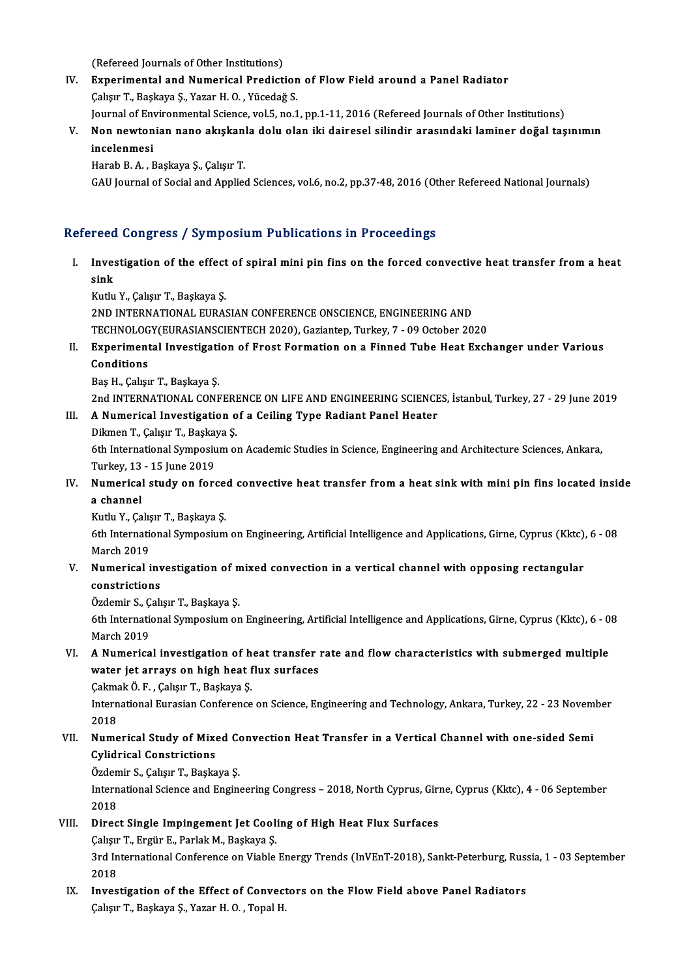(Refereed Journals of Other Institutions)<br>Eunenimental and Numerical Prodiction

- IV. Experimental and Numerical Prediction of Flow Field around a Panel Radiator<br>Calisir T., Baskaya S., Yazar H. O., Yücedağ S. (Refereed Journals of Other Institutions)<br>Experimental and Numerical Prediction<br>Çalışır T., Başkaya Ş., Yazar H. O. , Yücedağ S.<br>Journal of Environmental Science, vol 5, no 1 Experimental and Numerical Prediction of Flow Field around a Panel Radiator<br>Çalışır T., Başkaya Ş., Yazar H. O. , Yücedağ S.<br>Journal of Environmental Science, vol.5, no.1, pp.1-11, 2016 (Refereed Journals of Other Institut
- Çalışır T., Başkaya Ş., Yazar H. O. , Yücedağ S.<br>Journal of Environmental Science, vol.5, no.1, pp.1-11, 2016 (Refereed Journals of Other Institutions)<br>V. Non newtonian nano akışkanla dolu olan iki dairesel silindir ar Journal of Env<br>Non newton<br>incelenmesi<br>Harab B. A. E Non newtonian nano akışkan<br>incelenmesi<br>Harab B. A. , Başkaya Ş., Çalışır T.<br>CAU Journal of Social and Annlia incelenmesi<br>Harab B. A. , Başkaya Ş., Çalışır T.<br>GAU Journal of Social and Applied Sciences, vol.6, no.2, pp.37-48, 2016 (Other Refereed National Journals)

### Refereed Congress / Symposium Publications in Proceedings

efereed Congress / Symposium Publications in Proceedings<br>I. Investigation of the effect of spiral mini pin fins on the forced convective heat transfer from a heat<br>Rink reed<br>Inve:<br>sink Investigation of the effect<br>sink<br>Kutlu Y., Çalışır T., Başkaya Ş.<br>2ND INTERNATIONAL EURAS sink<br>Kutlu Y., Çalışır T., Başkaya Ş.<br>2ND INTERNATIONAL EURASIAN CONFERENCE ONSCIENCE, ENGINEERING AND

Kutlu Y., Çalışır T., Başkaya Ş.<br>2ND INTERNATIONAL EURASIAN CONFERENCE ONSCIENCE, ENGINEERING AND<br>TECHNOLOGY(EURASIANSCIENTECH 2020), Gaziantep, Turkey, 7 - 09 October 2020<br>Eunonimental Investisation of Enest Formation on

- 2ND INTERNATIONAL EURASIAN CONFERENCE ONSCIENCE, ENGINEERING AND<br>TECHNOLOGY(EURASIANSCIENTECH 2020), Gaziantep, Turkey, 7 09 October 2020<br>II. Experimental Investigation of Frost Formation on a Finned Tube Heat Exchanger TECHNOLOG<br>Experiment<br>Conditions<br>Pec H. Colsu Experimental Investigati<br>Conditions<br>Baş H., Çalışır T., Başkaya Ş.<br>2nd INTERNATIONAL CONE Conditions<br>Baş H., Çalışır T., Başkaya Ş.<br>2nd INTERNATIONAL CONFERENCE ON LIFE AND ENGINEERING SCIENCES, İstanbul, Turkey, 27 - 29 June 2019
	-

# Baş H., Çalışır T., Başkaya Ş.<br>2nd INTERNATIONAL CONFERENCE ON LIFE AND ENGINEERING SCIENCE<br>III. A Numerical Investigation of a Ceiling Type Radiant Panel Heater<br>Dilmon T. Coluy T. Baskaya S.

2nd INTERNATIONAL CONFERE<br>**A Numerical Investigation o**<br>Dikmen T., Çalışır T., Başkaya Ş.<br><sup>6th</sup> International Sumnosium ol 6th International Investigation of a Ceiling Type Radiant Panel Heater<br>Dikmen T., Çalışır T., Başkaya Ş.<br>6th International Symposium on Academic Studies in Science, Engineering and Architecture Sciences, Ankara,<br>Turkay 12 Dikmen T., Çalışır T., Başkay<br>6th International Symposiu<br>Turkey, 13 - 15 June 2019<br>Numorisal study on fors

## IV. Studies in Science, Engineering and Architecture Sciences, Ankara,<br>Turkey, 13 - 15 June 2019<br>IV. Numerical study on forced convective heat transfer from a heat sink with mini pin fins located inside<br>a schannal Turkey, 13 - 15 June 2019<br>Numerical study on force<br>a channel<br>Kutlu Y., Calısır T., Baskaya S. Numerical study on force<br>a channel<br>Kutlu Y., Çalışır T., Başkaya Ş.<br><sup>Eth Intornational Sumnosium</sup>

a channel<br>Kutlu Y., Çalışır T., Başkaya Ş.<br>6th International Symposium on Engineering, Artificial Intelligence and Applications, Girne, Cyprus (Kktc), 6 - 08 Kutlu Y., Çalış<br>6th Internatio<br>March 2019<br>Numarical i 6th International Symposium on Engineering, Artificial Intelligence and Applications, Girne, Cyprus (Kktc),<br>March 2019<br>V. Numerical investigation of mixed convection in a vertical channel with opposing rectangular<br>constric

March 2019<br>Numerical inv<br>constrictions<br>Ördemin S. Colv Numerical investigation of m<br>constrictions<br>Özdemir S., Çalışır T., Başkaya Ş.<br><sup>6th International Sumnasium on</sup>

constrictions<br>Özdemir S., Çalışır T., Başkaya Ş.<br>6th International Symposium on Engineering, Artificial Intelligence and Applications, Girne, Cyprus (Kktc), 6 - 08 Özdemir S., Ç.<br>6th Internation<br>March 2019 6th International Symposium on Engineering, Artificial Intelligence and Applications, Girne, Cyprus (Kktc), 6 - 0<br>March 2019<br>VI. A Numerical investigation of heat transfer rate and flow characteristics with submerged multi

# March 2019<br>A Numerical investigation of heat transfer<br>water jet arrays on high heat flux surfaces<br>Calmak Ö E - Calsur T, Baskave S A Numerical investigation of h<br>water jet arrays on high heat f<br>Çakmak Ö. F. , Çalışır T., Başkaya Ş.<br>International Eurasian Conference

water jet arrays on high heat flux surfaces<br>Çakmak Ö. F. , Çalışır T., Başkaya Ş.<br>International Eurasian Conference on Science, Engineering and Technology, Ankara, Turkey, 22 - 23 November<br>2019 Cakma<br>Intern<br>2018<br>Nume International Eurasian Conference on Science, Engineering and Technology, Ankara, Turkey, 22 - 23 Novem<br>2018<br>VII. Numerical Study of Mixed Convection Heat Transfer in a Vertical Channel with one-sided Semi<br>Culidrical Const

# 2018<br>Numerical Study of Mixe<br>Cylidrical Constrictions<br>Ördemir S. Celier T. Beelre Numerical Study of Mixed Constructions<br>Cylidrical Constrictions<br>Özdemir S., Çalışır T., Başkaya Ş.<br>International Science and Engin

Cylidrical Constrictions<br>Özdemir S., Çalışır T., Başkaya Ş.<br>International Science and Engineering Congress – 2018, North Cyprus, Girne, Cyprus (Kktc), 4 - 06 September<br>2018 Özden<br>Intern<br>2018<br>Direc International Science and Engineering Congress – 2018, North Cyprus, Girl<br>2018<br>VIII. Direct Single Impingement Jet Cooling of High Heat Flux Surfaces<br>Colsum T. Engin E. Barlel: M. Baskaue S. 2018<br>Direct Single Impingement Jet Cool:<br>Çalışır T., Ergür E., Parlak M., Başkaya Ş.<br>2nd International Conference on Viable

Direct Single Impingement Jet Cooling of High Heat Flux Surfaces<br>Calışır T., Ergür E., Parlak M., Başkaya Ş.<br>3rd International Conference on Viable Energy Trends (InVEnT-2018), Sankt-Peterburg, Russia, 1 - 03 September<br>201 Calışır<br>3rd In<br>2018<br>Inves 3rd International Conference on Viable Energy Trends (InVEnT-2018), Sankt-Peterburg, Russ<br>2018<br>IX. Investigation of the Effect of Convectors on the Flow Field above Panel Radiators<br>Colour T. Baskaya S. Varar H.O. Topel H.

2018<br>I<mark>nvestigation of the Effect of Convec</mark><br>Çalışır T., Başkaya Ş., Yazar H. O. , Topal H.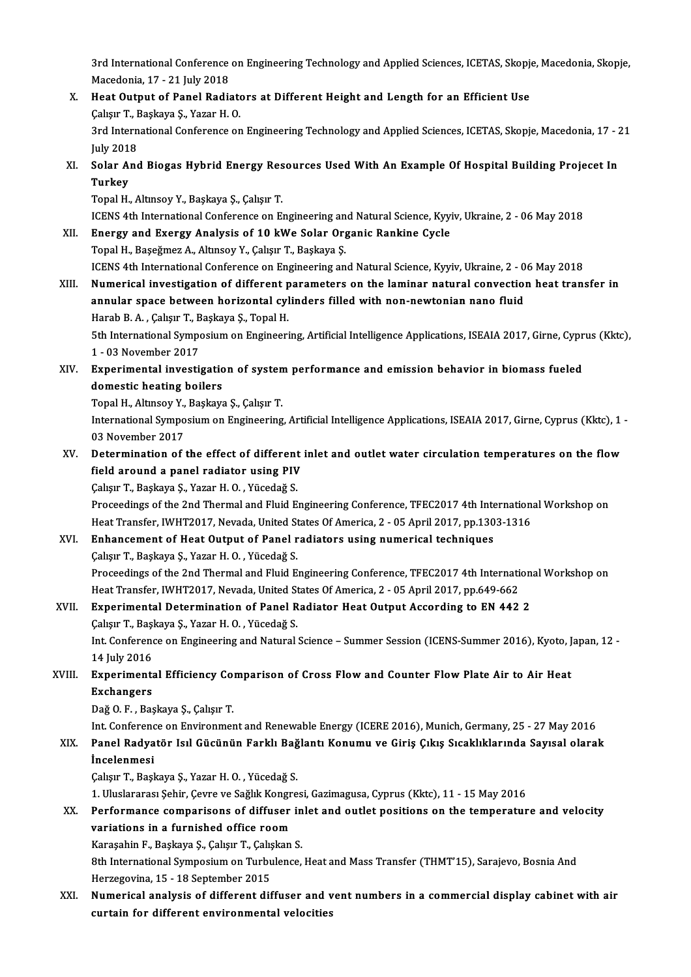3rd International Conference on Engineering Technology and Applied Sciences, ICETAS, Skopje, Macedonia, Skopje,<br>Magadania, 17, 21 July 2019 3rd International Conference<br>Macedonia, 17 - 21 July 2018<br>Hest Output of Banel Bedia 3rd International Conference on Engineering Technology and Applied Sciences, ICETAS, Skopje<br>Macedonia, 17 - 21 July 2018<br>X. Heat Output of Panel Radiators at Different Height and Length for an Efficient Use<br>Colsum T. Baska

Macedonia, 17 - 21 July 2018<br>X. Heat Output of Panel Radiators at Different Height and Length for an Efficient Use<br>Calışır T., Başkaya Ş., Yazar H. O. Heat Output of Panel Radiators at Different Height and Length for an Efficient Use<br>Çalışır T., Başkaya Ş., Yazar H. O.<br>3rd International Conference on Engineering Technology and Applied Sciences, ICETAS, Skopje, Macedonia,

Calisir T., I<br>3rd Intern<br>July 2018<br>Solar Ang 3rd International Conference on Engineering Technology and Applied Sciences, ICETAS, Skopje, Macedonia, 17 - 2<br>July 2018<br>XI. Solar And Biogas Hybrid Energy Resources Used With An Example Of Hospital Building Projecet In<br>Tu

July 201<br><mark>Solar A</mark><br>Turkey<br><sup>Tonal H</sup> Solar And Biogas Hybrid Energy Res<br>Turkey<br>Topal H., Altınsoy Y., Başkaya Ş., Çalışır T.<br>ICENS 4th International Conference on E. Turkey<br>Topal H., Altınsoy Y., Başkaya Ş., Çalışır T.<br>ICENS 4th International Conference on Engineering and Natural Science, Kyyiv, Ukraine, 2 - 06 May 2018<br>Energy and Exergy Analysis of 10 kWe Solar Organis Bankine Cycle

Topal H., Altınsoy Y., Başkaya Ş., Çalışır T.<br>ICENS 4th International Conference on Engineering and Natural Science, Kyy<br>XII. Energy and Exergy Analysis of 10 kWe Solar Organic Rankine Cycle<br>Topal H., Baseğmez A., Altınsoy ICENS 4th International Conference on Engineering an<br>Energy and Exergy Analysis of 10 kWe Solar Org<br>Topal H., Başeğmez A., Altınsoy Y., Çalışır T., Başkaya Ş.<br>ICENS 4th International Conference on Engineering an

ICENS 4th International Conference on Engineering and Natural Science, Kyyiv, Ukraine, 2 - 06 May 2018

Topal H., Başeğmez A., Altınsoy Y., Çalışır T., Başkaya Ş.<br>ICENS 4th International Conference on Engineering and Natural Science, Kyyiv, Ukraine, 2 - 06 May 2018<br>XIII. Numerical investigation of different parameters on the ICENS 4th International Conference on Engineering and Natural Science, Kyyiv, Ukraine, 2 - 0<br>Numerical investigation of different parameters on the laminar natural convection<br>annular space between horizontal cylinders fill Numerical investigation of different p<br>annular space between horizontal cyl<br>Harab B.A., Çalışır T., Başkaya Ş., Topal H.<br>Eth International Sumnesium en Engineeri Harab B. A., Çalışır T., Başkaya Ş., Topal H.

annular space between horizontal cylinders filled with non-newtonian nano fluid<br>Harab B. A. , Çalışır T., Başkaya Ş., Topal H.<br>5th International Symposium on Engineering, Artificial Intelligence Applications, ISEAIA 2017, 5th International Symposium on Engineering, Artificial Intelligence Applications, ISEAIA 2017, Girne, Cypr<br>1 - 03 November 2017<br>XIV. Experimental investigation of system performance and emission behavior in biomass fueled<br>

1 - 03 November 2017<br>Experimental investigation<br>domestic heating boilers<br>Tanal H. Altmeeu Y. Boslavy Experimental investigation of systen<br>domestic heating boilers<br>Topal H., Altınsoy Y., Başkaya Ş., Çalışır T.<br>International Sumnosium on Engineering

domestic heating boilers<br>Topal H., Altınsoy Y., Başkaya Ş., Çalışır T.<br>International Symposium on Engineering, Artificial Intelligence Applications, ISEAIA 2017, Girne, Cyprus (Kktc), 1 -<br>03 November 2017 Topal H., Altınsoy Y.,<br>International Sympo<br>03 November 2017<br>Petermination of International Symposium on Engineering, Artificial Intelligence Applications, ISEAIA 2017, Girne, Cyprus (Kktc), 1<br>03 November 2017<br>XV. Determination of the effect of different inlet and outlet water circulation temperatur

# 03 November 2017<br>Determination of the effect of different<br>field around a panel radiator using PIV Determination of the effect of different<br>field around a panel radiator using PIV<br>Çalışır T., Başkaya Ş., Yazar H. O. , Yücedağ S.<br>Proseedings of the 2nd Thermal and Fluid F.

field around a panel radiator using PIV<br>Çalışır T., Başkaya Ş., Yazar H. O. , Yücedağ S.<br>Proceedings of the 2nd Thermal and Fluid Engineering Conference, TFEC2017 4th International Workshop on<br>Hest Transfor IWUT2017 Noveda Çalışır T., Başkaya Ş., Yazar H. O. , Yücedağ S.<br>Proceedings of the 2nd Thermal and Fluid Engineering Conference, TFEC2017 4th Internation:<br>Heat Transfer, IWHT2017, Nevada, United States Of America, 2 - 05 April 2017, pp.1 Proceedings of the 2nd Thermal and Fluid Engineering Conference, TFEC2017 4th Inte<br>Heat Transfer, IWHT2017, Nevada, United States Of America, 2 - 05 April 2017, pp.130<br>XVI. Enhancement of Heat Output of Panel radiators usi

# Heat Transfer, IWHT2017, Nevada, United St<br>**Enhancement of Heat Output of Panel r**<br>Çalışır T., Başkaya Ş., Yazar H. O. , Yücedağ S.<br>Proseedings of the 2nd Thermal and Fluid F.

Enhancement of Heat Output of Panel radiators using numerical techniques<br>Çalışır T., Başkaya Ş., Yazar H. O. , Yücedağ S.<br>Proceedings of the 2nd Thermal and Fluid Engineering Conference, TFEC2017 4th International Workshop Calışır T., Başkaya Ş., Yazar H. O. , Yücedağ S.<br>Proceedings of the 2nd Thermal and Fluid Engineering Conference, TFEC2017 4th International Proceedings of the<br>Heat Transfer, IWHT2017, Nevada, United States Of America, 2 -Proceedings of the 2nd Thermal and Fluid Engineering Conference, TFEC2017 4th Internation<br>Heat Transfer, IWHT2017, Nevada, United States Of America, 2 - 05 April 2017, pp.649-662<br>XVII. Experimental Determination of Panel R

Heat Transfer, IWHT2017, Nevada, United St<br>Experimental Determination of Panel R<br>Çalışır T., Başkaya Ş., Yazar H. O. , Yücedağ S.<br>Int Conference on Engineering and Natural. Experimental Determination of Panel Radiator Heat Output According to EN 442 2<br>Çalışır T., Başkaya Ş., Yazar H. O. , Yücedağ S.<br>Int. Conference on Engineering and Natural Science – Summer Session (ICENS-Summer 2016), Kyoto Çalışır T., Başkaya Ş., Yazar H. O. , Yücedağ S.<br>Int. Conference on Engineering and Natural Science – Summer Session (ICENS-Summer 2016), Kyoto, Japan, 12 -<br>14 July 2016 Int. Conference on Engineering and Natural Science – Summer Session (ICENS-Summer 2016), Kyoto, J<br>14 July 2016<br>XVIII. Experimental Efficiency Comparison of Cross Flow and Counter Flow Plate Air to Air Heat<br>Exchangers

# 14 July 2016<br>Experiment<br>Exchangers<br>Daž O. E., Pas Experimental Efficiency Co:<br>Exchangers<br>Dağ O. F. , Başkaya Ş., Çalışır T.<br>Int Conforence on Envirenmer

Exchangers<br>Dağ O. F. , Başkaya Ş., Çalışır T.<br>Int. Conference on Environment and Renewable Energy (ICERE 2016), Munich, Germany, 25 - 27 May 2016

## Dağ O. F. , Başkaya Ş., Çalışır T.<br>Int. Conference on Environment and Renewable Energy (ICERE 2016), Munich, Germany, 25 - 27 May 2016<br>XIX. Panel Radyatör Isıl Gücünün Farklı Bağlantı Konumu ve Giriş Çıkış Sıcaklıkları Int. Conferend<br>Panel Radya<br>İncelenmesi<br>Cakar T. Basl Panel Radyatör Isıl Gücünün Farklı Bağ<br>İncelenmesi<br>Çalışır T., Başkaya Ş., Yazar H. O. , Yücedağ S.<br>1. Uluslararası Sehir Gayra ve Sağlık Kongre **İncelenmesi**<br>Çalışır T., Başkaya Ş., Yazar H. O. , Yücedağ S.<br>1. Uluslararası Şehir, Çevre ve Sağlık Kongresi, Gazimagusa, Cyprus (Kktc), 11 - 15 May 2016

## Calışır T., Başkaya Ş., Yazar H. O. , Yücedağ S.<br>1. Uluslararası Şehir, Çevre ve Sağlık Kongresi, Gazimagusa, Cyprus (Kktc), 11 - 15 May 2016<br>XX. Performance comparisons of diffuser inlet and outlet positions on the temper 1. Uluslararası Şehir, Çevre ve Sağlık Kongr<br>Performance comparisons of diffuser<br>variations in a furnished office room Performance comparisons of diffuser in<br>variations in a furnished office room<br>Karaşahin F., Başkaya Ş., Çalışır T., Çalışkan S.<br><sup>9th Intornational Sumnosium on Turbulanco</sup>

variations in a furnished office room<br>Karaşahin F., Başkaya Ş., Çalışır T., Çalışkan S.<br>8th International Symposium on Turbulence, Heat and Mass Transfer (THMT'15), Sarajevo, Bosnia And<br>Harragayina 15 - 18 Sartambar 2015 Karaşahin F., Başkaya Ş., Çalışır T., Çalış<br>8th International Symposium on Turbu<br>Herzegovina, 15 - 18 September 2015<br>Numerisal analyais of different dif 8th International Symposium on Turbulence, Heat and Mass Transfer (THMT'15), Sarajevo, Bosnia And<br>Herzegovina, 15 - 18 September 2015<br>XXI. Numerical analysis of different diffuser and vent numbers in a commercial display c

Herzegovina, 15 - 18 September 2015<br>Numerical analysis of different diffuser and v<br>curtain for different environmental velocities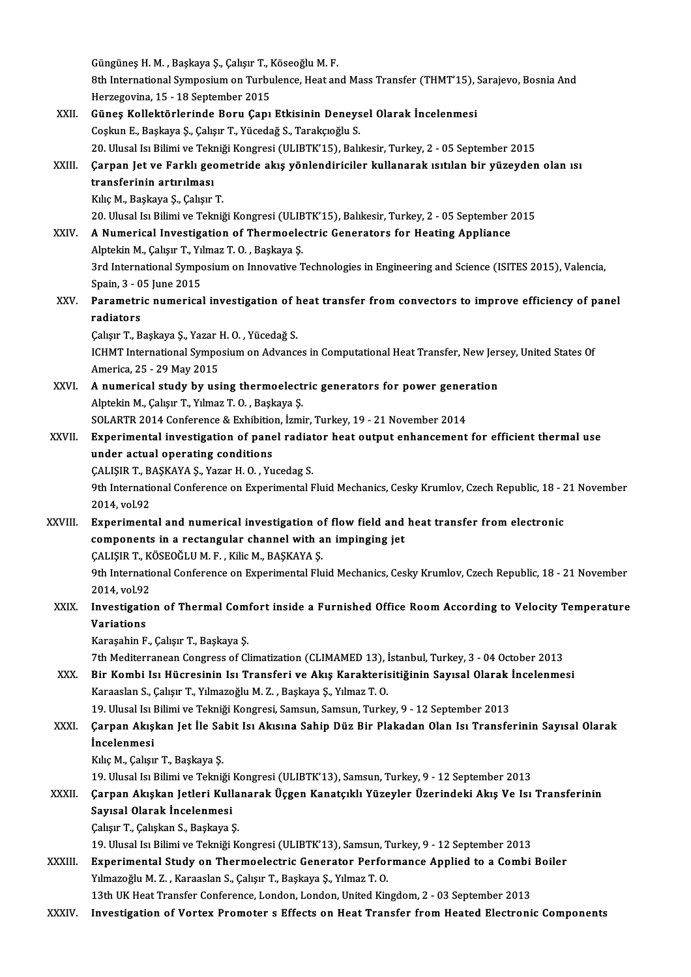Güngüneş H. M. , Başkaya Ş., Çalışır T., Köseoğlu M. F.<br>Sth International Symposium on Turbulansa, Hast an 8th International Symposium on Turbulence, Heat and Mass Transfer (THMT'15), Sarajevo, Bosnia And<br>Herzegovina, 15 - 18 September 2015 Güngüneş H. M. , Başkaya Ş., Çalışır T., I<br>8th International Symposium on Turbu<br>Herzegovina, 15 - 18 September 2015<br>Günes Kallektörlerinde Beru, Canı 8th International Symposium on Turbulence, Heat and Mass Transfer (THMT'15), S<br>Herzegovina, 15 - 18 September 2015<br>XXII. Güneş Kollektörlerinde Boru Çapı Etkisinin Deneysel Olarak İncelenmesi Herzegovina, 15 - 18 September 2015<br>Güneş Kollektörlerinde Boru Çapı Etkisinin Deneys<br>Coşkun E., Başkaya Ş., Çalışır T., Yücedağ S., Tarakçıoğlu S.<br>20 Hlucal Isı Bilimi ve Telmiği Kongresi (ULIPTK'15), Palı 20, Coşkun E., Başkaya Ş., Çalışır T., Yücedağ S., Tarakçıoğlu S.<br>20. Ulusal Isı Bilimi ve Tekniği Kongresi (ULIBTK'15), Balıkesir, Turkey, 2 - 05 September 2015 Coşkun E., Başkaya Ş., Çalışır T., Yücedağ S., Tarakçıoğlu S.<br>20. Ulusal Isı Bilimi ve Tekniği Kongresi (ULIBTK'15), Balıkesir, Turkey, 2 - 05 September 2015<br>XXIII. Çarpan Jet ve Farklı geometride akış yönlendiriciler 20. Ulusal Isı Bilimi ve Tekı<br>Çarpan Jet ve Farklı geo<br>transferinin artırılması<br>Kılıs M. Baskava S. Galisur Çarpan Jet ve Farklı geon<br>transferinin artırılması<br>Kılıç M., Başkaya Ş., Çalışır T.<br>20 Ulucal Isı Bilimi ve Telmi transferinin artırılması<br>Kılıç M., Başkaya Ş., Çalışır T.<br>20. Ulusal Isı Bilimi ve Tekniği Kongresi (ULIBTK'15), Balıkesir, Turkey, 2 - 05 September 2015<br>A Numerisal Investisation of Thermoelestris Conerators for Heating A Kılıç M., Başkaya Ş., Çalışır T.<br>20. Ulusal Isı Bilimi ve Tekniği Kongresi (ULIBTK'15), Balıkesir, Turkey, 2 - 05 September 2<br>XXIV. A Numerical Investigation of Thermoelectric Generators for Heating Appliance 20. Ulusal Isı Bilimi ve Tekniği Kongresi (ULIB<br>A Numerical Investigation of Thermoele<br>Alptekin M., Çalışır T., Yılmaz T. O. , Başkaya Ş.<br><sup>2nd International Sumnesium on Innevative T</sub></sup> A Numerical Investigation of Thermoelectric Generators for Heating Appliance<br>Alptekin M., Çalışır T., Yılmaz T. O. , Başkaya Ş.<br>3rd International Symposium on Innovative Technologies in Engineering and Science (ISITES 2015 Alptekin M., Çalışır T., Yıl<br>3rd International Sympo<br>Spain, 3 - 05 June 2015<br>Paramatris numarisal 3rd International Symposium on Innovative Technologies in Engineering and Science (ISITES 2015), Valencia,<br>Spain, 3 - 05 June 2015<br>XXV. Parametric numerical investigation of heat transfer from convectors to improve efficie Spain, 3 - 0<br><mark>Parametri</mark><br>radiators<br><sup>Colour T- B</sub></sup> Parametric numerical investigation of h<br>radiators<br>Çalışır T., Başkaya Ş., Yazar H. O. , Yücedağ S.<br>ICHMT International Sumpesium en Advance radiators<br>Çalışır T., Başkaya Ş., Yazar H. O. , Yücedağ S.<br>ICHMT International Symposium on Advances in Computational Heat Transfer, New Jersey, United States Of America,25 -29May2015 ICHMT International Symposium on Advances in Computational Heat Transfer, New Jer.<br>America, 25 - 29 May 2015<br>XXVI. A numerical study by using thermoelectric generators for power generation America, 25 - 29 May 2015<br>**A numerical study by using thermoelect**<br>Alptekin M., Çalışır T., Yılmaz T. O. , Başkaya Ş.<br>SQLAPTP 2014 Conforence & Exhibition İsmi A numerical study by using thermoelectric generators for power gener<br>Alptekin M., Çalışır T., Yılmaz T. O. , Başkaya Ş.<br>SOLARTR 2014 Conference & Exhibition, İzmir, Turkey, 19 - 21 November 2014<br>Experimental investigation Alptekin M., Çalışır T., Yılmaz T. O. , Başkaya Ş.<br>SOLARTR 2014 Conference & Exhibition, İzmir, Turkey, 19 - 21 November 2014<br>XXVII. Experimental investigation of panel radiator heat output enhancement for efficient therma SOLARTR 2014 Conference & Exhibition<br>Experimental investigation of pane<br>under actual operating conditions<br>CALISIP T. PASKAVA S. VOTOF H.O. Vu Experimental investigation of panel radiat<br>under actual operating conditions<br>ÇALIŞIR T., BAŞKAYA Ş., Yazar H. O. , Yucedag S.<br><sup>Oth Intornational Conference on Evnerimental E</sup> under actual operating conditions<br>CALIŞIR T., BAŞKAYA Ş., Yazar H. O. , Yucedag S.<br>9th International Conference on Experimental Fluid Mechanics, Cesky Krumlov, Czech Republic, 18 - 21 November<br>2014. vol.92 ÇALIŞIR T., BAŞKAYA Ş., Yazar H. O., Yucedag S. XXVIII. Experimental and numerical investigation of flow field and heat transfer from electronic 2014, vol.92<br>Experimental and numerical investigation of flow field and<br>components in a rectangular channel with an impinging jet<br>CALISIR T. KÖSEOČLUM E., KijaM, RASKAVA S Experimental and numerical investigation o<br>components in a rectangular channel with a<br>ÇALIŞIR T., KÖSEOĞLU M. F. , Kilic M., BAŞKAYA Ş.<br><sup>Oth International Conference on Experimental Flu</sup> 9th International Conference on Experimental Fluid Mechanics, Cesky Krumlov, Czech Republic, 18 - 21 November<br>2014. vol.92 ÇALIŞIR T., KÖSEOĞLU M. F., Kilic M., BAŞKAYA Ş. 9th International Conference on Experimental Fluid Mechanics, Cesky Krumlov, Czech Republic, 18 - 21 November<br>2014, vol.92<br>XXIX. Investigation of Thermal Comfort inside a Furnished Office Room According to Velocity Tempera 2014, vol.92<br>Investigations<br>Variations Investigation of Thermal Com:<br>Variations<br>Karaşahin F., Çalışır T., Başkaya Ş.<br>7th Mediterranean Congrees of Cl Variations<br>Karaşahin F., Çalışır T., Başkaya Ş.<br>7th Mediterranean Congress of Climatization (CLIMAMED 13), İstanbul, Turkey, 3 - 04 October 2013 Karaşahin F., Çalışır T., Başkaya Ş.<br>7th Mediterranean Congress of Climatization (CLIMAMED 13), İstanbul, Turkey, 3 - 04 October 2013<br>8 XXX. Bir Kombi Isı Hücresinin Isı Transferi ve Akış Karakterisitiğinin Sayısal Olarak KaraaslanS.,ÇalışırT.,YılmazoğluM.Z. ,Başkaya Ş.,YılmazT.O. Bir Kombi Isı Hücresinin Isı Transferi ve Akış Karakterisitiğinin Sayısal Olarak İ<br>Karaaslan S., Çalışır T., Yılmazoğlu M. Z. , Başkaya Ş., Yılmaz T. O.<br>19. Ulusal Isı Bilimi ve Tekniği Kongresi, Samsun, Samsun, Turkey, 9 Karaaslan S., Çalışır T., Yılmazoğlu M. Z. , Başkaya Ş., Yılmaz T. O.<br>19. Ulusal Isı Bilimi ve Tekniği Kongresi, Samsun, Samsun, Turkey, 9 - 12 September 2013<br>XXXI. Çarpan Akışkan Jet İle Sabit Isı Akısına Sahip Düz Bi 19. Ulusal Isı Bilimi ve Tekniği Kongresi, Samsun, Samsun, Turkey, 9 - 12 September 2013<br>Çarpan Akışkan Jet İle Sabit Isı Akısına Sahip Düz Bir Plakadan Olan Isı Transfe<br>İncelenmesi<br>Kılıç M., Çalışır T., Başkaya S. Çarpan Akışkan Jet İle Sa<br>İncelenmesi<br>Kılıç M., Çalışır T., Başkaya Ş.<br>19 Ulucal ka Bilimi ve Tolmi İncelenmesi<br>Kılıç M., Çalışır T., Başkaya Ş.<br>19. Ulusal Isı Bilimi ve Tekniği Kongresi (ULIBTK'13), Samsun, Turkey, 9 - 12 September 2013<br>Carnan, Akıskan Jetleri, Kullanarak Üssan, Kanataklı, Yüzeyler, Üserindeki, Akıs Ve Kılıç M., Çalışır T., Başkaya Ş.<br>19. Ulusal Isı Bilimi ve Tekniği Kongresi (ULIBTK'13), Samsun, Turkey, 9 - 12 September 2013<br>XXXII. Çarpan Akışkan Jetleri Kullanarak Üçgen Kanatçıklı Yüzeyler Üzerindeki Akış Ve Isı Tr 19. Ulusal Isı Bilimi ve Tekniği<br>Çarpan Akışkan Jetleri Kull<br>Sayısal Olarak İncelenmesi<br>CelevrT, Celekan S. Baskava ( Çarpan Akışkan Jetleri Kulla<br>Sayısal Olarak İncelenmesi<br>Çalışır T., Çalışkan S., Başkaya Ş.<br>10. Ulusal Ja Bilimi ve Telmiği K Sayısal Olarak İncelenmesi<br>Çalışır T., Çalışkan S., Başkaya Ş.<br>19. Ulusal Isı Bilimi ve Tekniği Kongresi (ULIBTK'13), Samsun, Turkey, 9 - 12 September 2013 Calışır T., Çalışkan S., Başkaya Ş.<br>19. Ulusal Isı Bilimi ve Tekniği Kongresi (ULIBTK'13), Samsun, Turkey, 9 - 12 September 2013<br>XXXIII. Experimental Study on Thermoelectric Generator Performance Applied to a Combi Boiler<br> 19. Ulusal Isı Bilimi ve Tekniği Kongresi (ULIBTK'13), Samsun, T<br>Experimental Study on Thermoelectric Generator Perfor<br>Yılmazoğlu M. Z. , Karaaslan S., Çalışır T., Başkaya Ş., Yılmaz T. O.<br>12th UK Host Transfor Conforence Experimental Study on Thermoelectric Generator Performance Applied to a Combi<br>13th UK Heat Transfer Conference, London, London, United Kingdom, 2 - 03 September 2013<br>Investigation of Ventey Premeter e Effects on Heat Trans Yılmazoğlu M. Z. , Karaaslan S., Çalışır T., Başkaya Ş., Yılmaz T. O.<br>13th UK Heat Transfer Conference, London, London, United Kingdom, 2 - 03 September 2013<br>XXXIV. Investigation of Vortex Promoter s Effects on Heat Tr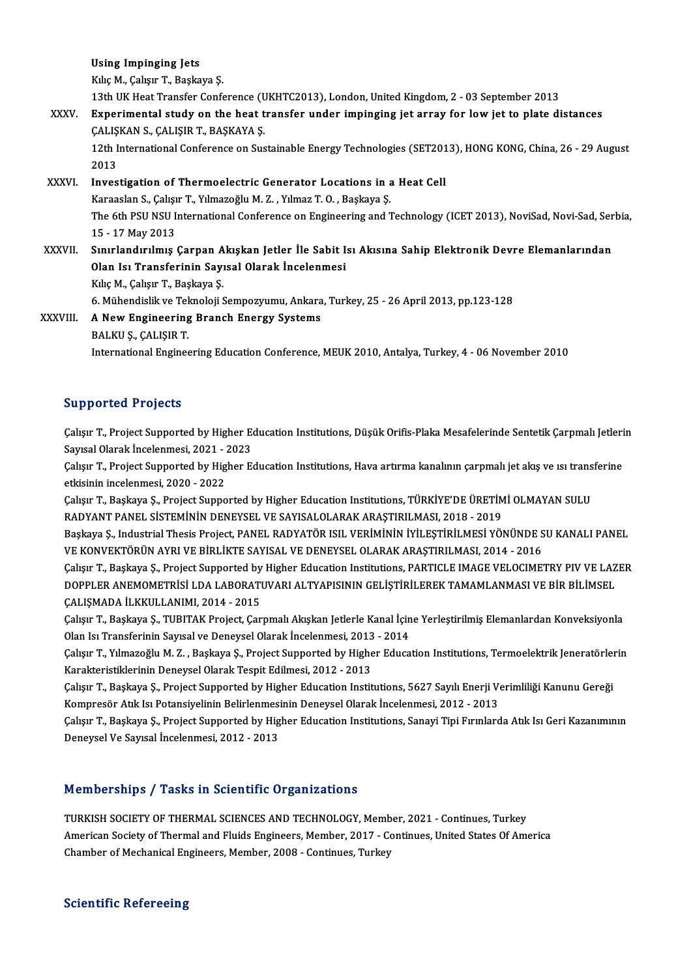Using Impinging Jets

KılıçM.,ÇalışırT.,Başkaya Ş.

13thUKHeatTransfer Conference (UKHTC2013),London,UnitedKingdom,2 -03 September 2013

## Kılıç M., Çalışır T., Başkaya Ş.<br>13th UK Heat Transfer Conference (UKHTC2013), London, United Kingdom, 2 - 03 September 2013<br>XXXV. Experimental study on the heat transfer under impinging jet array for low jet to plate dist 13th UK Heat Transfer Conference (U<br>Experimental study on the heat t<br>ÇALIŞKAN S., ÇALIŞIR T., BAŞKAYA Ş. Experimental study on the heat transfer under impinging jet array for low jet to plate distances<br>ÇALIŞKAN S., ÇALIŞIR T., BAŞKAYA Ş.<br>12th International Conference on Sustainable Energy Technologies (SET2013), HONG KONG, Ch

CALIŞKAN S., ÇALIŞIR T., BAŞKAYA Ş.<br>12th International Conference on Sustainable Energy Technologies (SET201<br>2013<br>Investigation of Thermoelectric Generator Locations in a Heat Cell 12th International Conference on Sustainable Energy Technologies (SET2013), HONG KONG, China, 26 - 29 August<br>2013<br>XXXVI. Investigation of Thermoelectric Generator Locations in a Heat Cell

KaraaslanS.,ÇalışırT.,YılmazoğluM.Z. ,YılmazT.O. ,Başkaya Ş. Investigation of Thermoelectric Generator Locations in a Heat Cell<br>Karaaslan S., Çalışır T., Yılmazoğlu M. Z. , Yılmaz T. O. , Başkaya Ş.<br>The 6th PSU NSU International Conference on Engineering and Technology (ICET 2013), Karaaslan S., Çalışı<br>The 6th PSU NSU I<br>15 - 17 May 2013<br>Sınırlandırılmış The 6th PSU NSU International Conference on Engineering and Technology (ICET 2013), NoviSad, Novi-Sad, Ser<br>15 - 17 May 2013<br>XXXVII. Sınırlandırılmış Çarpan Akışkan Jetler İle Sabit Isı Akısına Sahip Elektronik Devre Eleman

15 - 17 May 2013<br>Sınırlandırılmış Çarpan Akışkan Jetler İle Sabit Isı Akısına Sahip Elektronik Devre Elemanlarından<br>Olan Isı Transferinin Sayısal Olarak İncelenmesi 0lan Isı Transferinin Sayısal Olarak İncelenmesi<br>Kılıç M., Çalışır T., Başkaya Ş.<br>6. Mühendislik ve Teknoloji Sempozyumu, Ankara, Turkey, 25 - 26 April 2013, pp.123-128<br>A Now Engineering Pranch Energy Systems.

Kılıç M., Çalışır T., Başkaya Ş.

XXXVIII. A New Engineering Branch Energy Systems<br>BALKU S., CALISIR T. 6. Mühendislik ve Tek<br>**A New Engineering**<br>BALKU Ş., ÇALIŞIR T.<br>International Enginee InternationalEngineeringEducationConference,MEUK2010,Antalya,Turkey,4 -06November 2010

## Supported Projects

Supported Projects<br>Çalışır T., Project Supported by Higher Education Institutions, Düşük Orifis-Plaka Mesafelerinde Sentetik Çarpmalı Jetlerin<br>Sayısal Olarak İnselenmesi, 2021, 2022 Sapportoa 11990au<br>Calisir T., Project Supported by Higher E.<br>Sayısal Olarak İncelenmesi, 2021 - 2023<br>Calisir T. Brajast Supported by Higher E. Çalışır T., Project Supported by Higher Education Institutions, Düşük Orifis-Plaka Mesafelerinde Sentetik Çarpmalı Jetleri<br>Sayısal Olarak İncelenmesi, 2021 - 2023<br>Çalışır T., Project Supported by Higher Education Instituti

Sayısal Olarak İncelenmesi, 2021 - 2023<br>Çalışır T., Project Supported by Higher Education Institutions, Hava artırma kanalının çarpmalı jet akış ve ısı transferine<br>etkisinin incelenmesi, 2020 - 2022 Çalışır T., Project Supported by Higher Education Institutions, Hava artırma kanalının çarpmalı jet akış ve ısı trans<br>etkisinin incelenmesi, 2020 - 2022<br>Çalışır T., Başkaya Ş., Project Supported by Higher Education Institu

etkisinin incelenmesi, 2020 - 2022<br>Çalışır T., Başkaya Ş., Project Supported by Higher Education Institutions, TÜRKİYE'DE ÜRETİM<br>RADYANT PANEL SİSTEMİNİN DENEYSEL VE SAYISALOLARAK ARAŞTIRILMASI, 2018 - 2019<br>Başkaya S. Indu Çalışır T., Başkaya Ş., Project Supported by Higher Education Institutions, TÜRKİYE'DE ÜRETİMİ OLMAYAN SULU<br>RADYANT PANEL SİSTEMİNİN DENEYSEL VE SAYISALOLARAK ARAŞTIRILMASI, 2018 - 2019<br>Başkaya Ş., Industrial Thesis Projec

RADYANT PANEL SİSTEMİNİN DENEYSEL VE SAYISALOLARAK ARAŞTIRILMASI, 2018 - 2019<br>Başkaya Ş., Industrial Thesis Project, PANEL RADYATÖR ISIL VERİMİNİN İYİLEŞTİRİLMESİ YÖNÜNDE SU KANALI PANEL<br>VE KONVEKTÖRÜN AYRI VE BİRLİKTE SAY

Çalışır T., Başkaya Ş., Project Supported by Higher Education Institutions, PARTICLE IMAGE VELOCIMETRY PIV VE LAZER VE KONVEKTÖRÜN AYRI VE BİRLİKTE SAYISAL VE DENEYSEL OLARAK ARAŞTIRILMASI, 2014 - 2016<br>Çalışır T., Başkaya Ş., Project Supported by Higher Education Institutions, PARTICLE IMAGE VELOCIMETRY PIV VE LAZ<br>DOPPLER ANEMOMETRİSİ L Çalışır T., Başkaya Ş., Project Supported by<br>DOPPLER ANEMOMETRİSİ LDA LABORATI<br>ÇALIŞMADA İLKKULLANIMI, 2014 - 2015<br>Çalısın T. Baskaya S. TUBITA*V* Project Can DOPPLER ANEMOMETRISİ LDA LABORATUVARI ALTYAPISININ GELİŞTİRİLEREK TAMAMLANMASI VE BİR BİLİMSEL<br>ÇALIŞMADA İLKKULLANIMI, 2014 - 2015<br>Çalışır T., Başkaya Ş., TUBITAK Project, Çarpmalı Akışkan Jetlerle Kanal İçine Yerleştirilm

ÇALIŞMADA İLKKULLANIMI, 2014 - 2015<br>Çalışır T., Başkaya Ş., TUBITAK Project, Çarpmalı Akışkan Jetlerle Kanal İçin<br>Olan Isı Transferinin Sayısal ve Deneysel Olarak İncelenmesi, 2013 - 2014<br>Celisur T. Yılmazoğlu M.Z., Başkay Çalışır T., Başkaya Ş., TUBITAK Project, Çarpmalı Akışkan Jetlerle Kanal İçine Yerleştirilmiş Elemanlardan Konveksiyonla<br>Olan Isı Transferinin Sayısal ve Deneysel Olarak İncelenmesi, 2013 - 2014<br>Çalışır T., Yılmazoğlu M. Z

Olan Isı Transferinin Sayısal ve Deneysel Olarak İncelenmesi, 2013<br>Çalışır T., Yılmazoğlu M. Z. , Başkaya Ş., Project Supported by Highe<br>Karakteristiklerinin Deneysel Olarak Tespit Edilmesi, 2012 - 2013<br>Calısır T. Baskaya Çalışır T., Yılmazoğlu M. Z. , Başkaya Ş., Project Supported by Higher Education Institutions, Termoelektrik Jeneratörler<br>Karakteristiklerinin Deneysel Olarak Tespit Edilmesi, 2012 - 2013<br>Çalışır T., Başkaya Ş., Project Su

Karakteristiklerinin Deneysel Olarak Tespit Edilmesi, 2012 - 2013<br>Çalışır T., Başkaya Ş., Project Supported by Higher Education Institutions, 5627 Sayılı Enerji V.<br>Kompresör Atık Isı Potansiyelinin Belirlenmesinin Deneysel

Çalışır T., Başkaya Ş., Project Supported by Higher Education Institutions, 5627 Sayılı Enerji Verimliliği Kanunu Gereği<br>Kompresör Atık Isı Potansiyelinin Belirlenmesinin Deneysel Olarak İncelenmesi, 2012 - 2013<br>Çalışır T. Kompresör Atık Isı Potansiyelinin Belirlenmesi<br>Çalışır T., Başkaya Ş., Project Supported by Hig<br>Deneysel Ve Sayısal İncelenmesi, 2012 - 2013

### Memberships / Tasks in Scientific Organizations

Memberships / Tasks in Scientific Organizations<br>TURKISH SOCIETY OF THERMAL SCIENCES AND TECHNOLOGY, Member, 2021 - Continues, Turkey<br>American Society of Thermal and Elvide Engineers Member, 2017 - Continues United States O ATURKISH SOCIETY OF THERMAL SCIENCES AND TECHNOLOGY, Member, 2021 - Continues, Turkey<br>American Society of Thermal and Fluids Engineers, Member, 2017 - Continues, United States Of America<br>Chamber of Mechanical Engineers, Me TURKISH SOCIETY OF THERMAL SCIENCES AND TECHNOLOGY, Membe<br>American Society of Thermal and Fluids Engineers, Member, 2017 - Co<br>Chamber of Mechanical Engineers, Member, 2008 - Continues, Turkey Chamber of Mechanical Engineers, Member, 2008 - Continues, Turkey<br>Scientific Refereeing